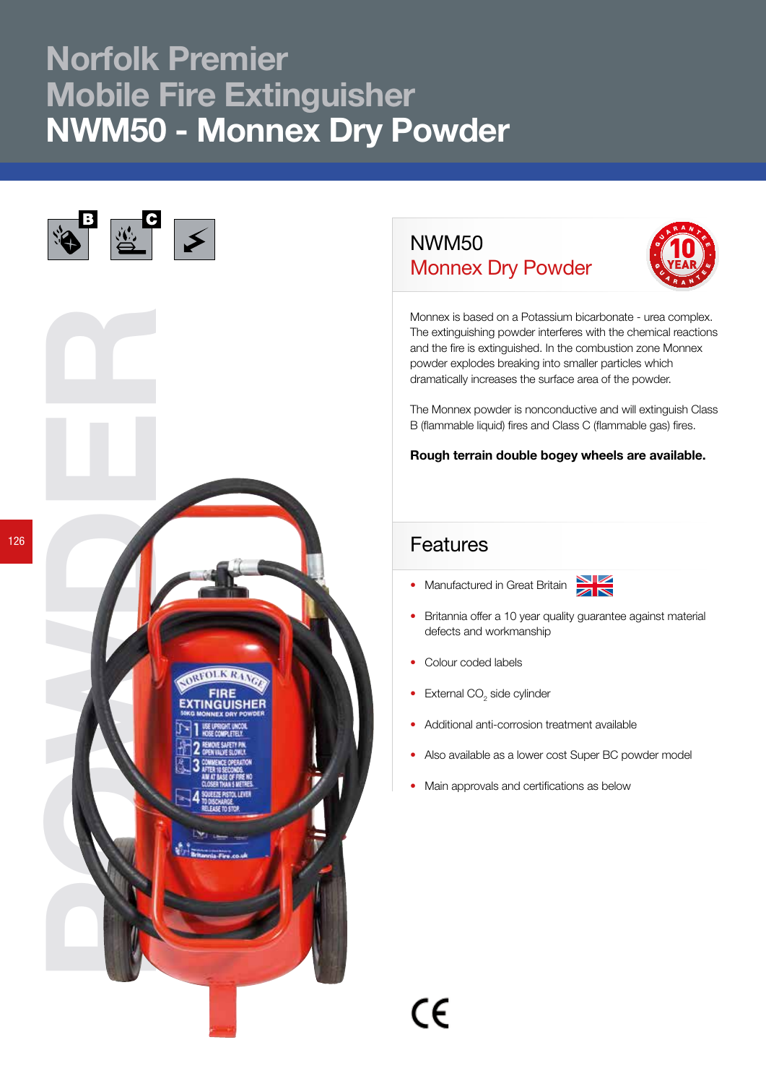## Norfolk Premier Mobile Fire Extinguisher NWM50 - Monnex Dry Powder



## NWM50 Monnex Dry Powder



Monnex is based on a Potassium bicarbonate - urea complex. The extinguishing powder interferes with the chemical reactions and the fire is extinguished. In the combustion zone Monnex powder explodes breaking into smaller particles which dramatically increases the surface area of the powder.

The Monnex powder is nonconductive and will extinguish Class B (flammable liquid) fires and Class C (flammable gas) fires.

Rough terrain double bogey wheels are available.

## Features

• Manufactured in Great Britain



- Britannia offer a 10 year quality guarantee against material defects and workmanship
- Colour coded labels
- External  $CO<sub>2</sub>$  side cylinder
- Additional anti-corrosion treatment available
- Also available as a lower cost Super BC powder model
- Main approvals and certifications as below